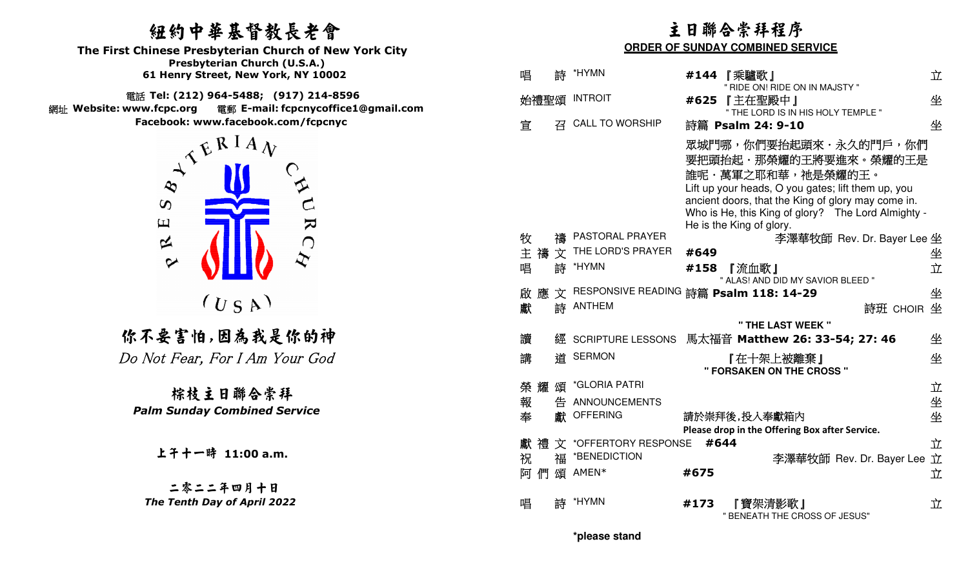## 紐約中華基督教長老會

  **Presbyterian Church (U.S.A.) The First Chinese Presbyterian Church of New York City 61 Henry Street, New York, NY 10002**

 電話 **Tel: (212) 964-5488; (917) 214-8596**  網址 **Website: www.fcpc.org** 電郵 **E-mail: fcpcnycoffice1@gmail.comFacebook: www.facebook.com/fcpcnyc** 



## 你不要害怕,因為我是你的神 Do Not Fear, For I Am Your God

上午十一時 **11:00 a.m.**

二零二二年四月十日The Tenth Day of April 2022

| 纽约中華基督教長老會<br><b>Chinese Presbyterian Church of New York City</b>                                                                                    | 主日聯合崇拜程序<br><b>ORDER OF SUNDAY COMBINED SERVICE</b>                                                                                                                                                                                                               |  |  |
|------------------------------------------------------------------------------------------------------------------------------------------------------|-------------------------------------------------------------------------------------------------------------------------------------------------------------------------------------------------------------------------------------------------------------------|--|--|
| Presbyterian Church (U.S.A.)<br>61 Henry Street, New York, NY 10002                                                                                  | *HYMN<br>唱<br>立<br>詩<br>#144 【乘驢歌】                                                                                                                                                                                                                                |  |  |
| 話 Tel: (212) 964-5488; (917) 214-8596<br>電郵 E-mail: fcpcnycoffice1@gmail.com<br>ww.fcpc.org                                                          | " RIDE ON! RIDE ON IN MAJSTY "<br><b>INTROIT</b><br>坐<br>『主在聖殿中』<br>始禮聖頌<br>#625<br>" THE LORD IS IN HIS HOLY TEMPLE "                                                                                                                                            |  |  |
| Facebook: www.facebook.com/fcpcnyc                                                                                                                   | CALL TO WORSHIP<br>坐<br>宜<br>召<br>詩篇 Psalm 24: 9-10                                                                                                                                                                                                               |  |  |
| $\lambda^{\mathcal{R}}$ $\mathbb{R}$ $\mathbb{R}$ $\mathbb{R}$ $\mathbb{R}$ $\mathbb{R}$<br>$\infty$<br>$\infty$<br>$\overline{\mathbf{z}}$<br>$\Xi$ | 眾城門哪,你們要抬起頭來,永久的門戶,你們<br>要把頭抬起·那榮耀的王將要進來。榮耀的王是<br>誰呢・萬軍之耶和華,祂是榮耀的王。<br>Lift up your heads, O you gates; lift them up, you<br>ancient doors, that the King of glory may come in.<br>Who is He, this King of glory? The Lord Almighty -<br>He is the King of glory. |  |  |
| 区<br>$\bigcap$                                                                                                                                       | PASTORAL PRAYER<br>牧<br>李澤華牧師 Rev. Dr. Bayer Lee 坐                                                                                                                                                                                                                |  |  |
| $\sim$                                                                                                                                               | 主 禱 文 THE LORD'S PRAYER<br>#649<br>坐<br>立<br>詩 *HYMN<br>唱<br>#158<br>『流血歌』<br>" ALAS! AND DID MY SAVIOR BLEED "                                                                                                                                                   |  |  |
| (U S A)                                                                                                                                              | 文 RESPONSIVE READING 詩篇 Psalm 118: 14-29<br>應<br>坐<br>啟<br>詩 ANTHEM<br>詩班 CHOIR 坐<br>獻                                                                                                                                                                            |  |  |
| :不要害怕,因為我是你的神                                                                                                                                        | " THE LAST WEEK "<br>讀<br>馬太福音 Matthew 26: 33-54; 27: 46<br>坐<br>經 SCRIPTURE LESSONS                                                                                                                                                                              |  |  |
| Mot Fear, For I Am Your God                                                                                                                          | 道 SERMON<br>坐<br>講<br>『在十架上被離棄』<br>" FORSAKEN ON THE CROSS "                                                                                                                                                                                                      |  |  |
| 棕枝主日聯合崇拜                                                                                                                                             | *GLORIA PATRI<br>榮耀頌<br>立                                                                                                                                                                                                                                         |  |  |
| <b>Palm Sunday Combined Service</b>                                                                                                                  | 坐<br>報<br>告 ANNOUNCEMENTS                                                                                                                                                                                                                                         |  |  |
|                                                                                                                                                      | 坐<br>奉<br>獻 OFFERING<br>請於崇拜後,投入奉獻箱內<br>Please drop in the Offering Box after Service.                                                                                                                                                                            |  |  |
|                                                                                                                                                      | #644<br>立<br>禮文 *OFFERTORY RESPONSE<br>獻                                                                                                                                                                                                                          |  |  |
| 上子十一時 11:00 a.m.                                                                                                                                     | *BENEDICTION<br>福<br>祝<br>李澤華牧師 Rev. Dr. Bayer Lee 立                                                                                                                                                                                                              |  |  |
| 二零二二年四月十日                                                                                                                                            | 阿們頌 AMEN*<br>立<br>#675                                                                                                                                                                                                                                            |  |  |
| The Tenth Day of April 2022                                                                                                                          | *HYMN<br>立<br>唱<br>詩<br>#173<br>『寶架清影歌』<br>" BENEATH THE CROSS OF JESUS"                                                                                                                                                                                          |  |  |

**\*please stand**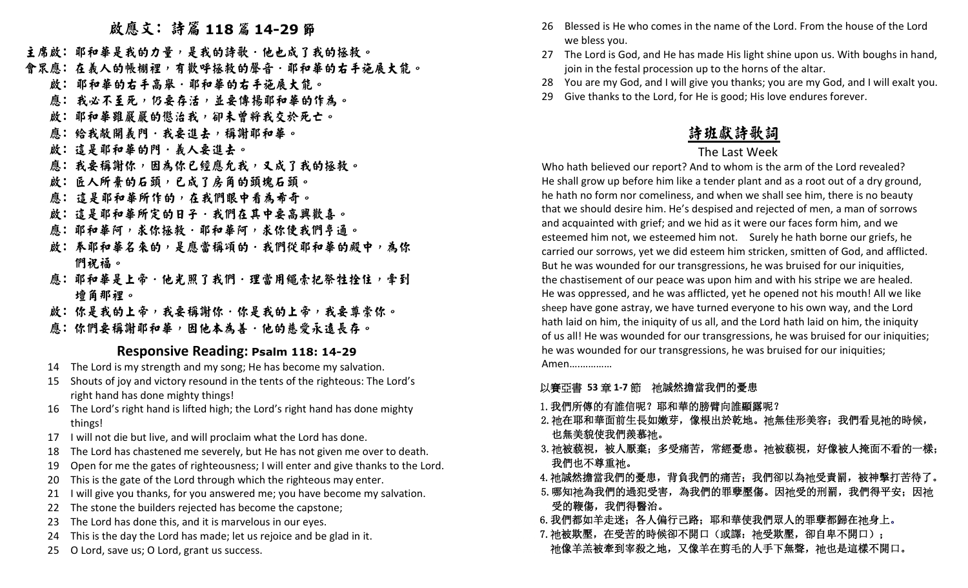# **2. 成應文: 詩篇 118 篇 14-29 節**

主席啟: 耶和華是我的力量,是我的詩歌·他也成了我的拯救。

- 會眾應:在義人的帳棚裡,有歡呼拯救的聲音.耶和華的右手施展大能。
- 啟: 耶和華的右手高舉·耶和華的右手施展大能。
- 應: 我必不至死,仍要存活,並要傳揚耶和華的作為。
	- 啟:耶和華雖嚴嚴的懲治我,卻未曾將我交於死亡。
	- 應: 給我敞開義門·我要進去,稱謝耶和華。
	- 啟: 這是耶和華的門.義人要進去。
- 應: 我要稱謝你,因為你已經應允我,又成了我的拯救。
	- 啟: 匠人所棄的石頭,已成了房角的頭塊石頭。
- 應: 這是耶和華所作的,在我們眼中看為希奇。
	- 啟: 這是耶和華所定的日子.我們在其中要高興歡喜。
- 應:耶和華阿,求你使我們亨通。
	- **啟:奉耶和華名來的,是應當稱頌的·我們從耶和華的殿中,為你** 們祝福。
- 應:耶和華是上帝·他光照了我們·理當用繩索把祭牲拴住,牵到 壇角那裡。
	- 啟:你是我的上帝,我要有你。<br><br><br>
- 應:你們要稱謝耶和華,因他本為善.他的慈愛永遠長存。

#### **Responsive Reading: Psalm 118: 14-29**

- 14 The Lord is my strength and my song; He has become my salvation.
- 15 Shouts of joy and victory resound in the tents of the righteous: The Lord's right hand has done mighty things!
- 16 The Lord's right hand is lifted high; the Lord's right hand has done mighty things!
- 17 I will not die but live, and will proclaim what the Lord has done.
- 18 The Lord has chastened me severely, but He has not given me over to death.
- 19 Open for me the gates of righteousness; I will enter and give thanks to the Lord.
- 20 This is the gate of the Lord through which the righteous may enter.
- 21 I will give you thanks, for you answered me; you have become my salvation.
- 22 The stone the builders rejected has become the capstone;
- 23 The Lord has done this, and it is marvelous in our eyes.
- 24 This is the day the Lord has made; let us rejoice and be glad in it.
- 25 O Lord, save us; O Lord, grant us success.
- 26 Blessed is He who comes in the name of the Lord. From the house of the Lord we bless you.
- 27 The Lord is God, and He has made His light shine upon us. With boughs in hand, join in the festal procession up to the horns of the altar.
- 28 You are my God, and I will give you thanks; you are my God, and I will exalt you.
- 29 Give thanks to the Lord, for He is good; His love endures forever.

## 詩班獻詩歌詞

### The Last Week

 Who hath believed our report? And to whom is the arm of the Lord revealed? He shall grow up before him like a tender plant and as a root out of a dry ground, he hath no form nor comeliness, and when we shall see him, there is no beauty that we should desire him. He's despised and rejected of men, a man of sorrows and acquainted with grief; and we hid as it were our faces form him, and we esteemed him not, we esteemed him not. Surely he hath borne our griefs, he carried our sorrows, yet we did esteem him stricken, smitten of God, and afflicted. But he was wounded for our transgressions, he was bruised for our iniquities, the chastisement of our peace was upon him and with his stripe we are healed. He was oppressed, and he was afflicted, yet he opened not his mouth! All we like sheep have gone astray, we have turned everyone to his own way, and the Lord hath laid on him, the iniquity of us all, and the Lord hath laid on him, the iniquity of us all! He was wounded for our transgressions, he was bruised for our iniquities; he was wounded for our transgressions, he was bruised for our iniquities; Amen….…………

## 以賽亞書 53 章 1-7 節 祂誠然擔當我們的憂患<br>|

- 1.我們所傳的有誰信呢?耶和華的膀臂向誰顯露呢?
	- 2. 祂在耶和華面前生長如嫩芽,像根出於乾地。祂無佳形美容;我們看見祂的時候, 也無美貌使我們羨慕祂。
	- 3. 祂被藐視,被人厭棄;多受痛苦,常經憂患。祂被藐視,好像被人掩面不看的一樣; 我們也不尊重祂。
- 4. 祂誠然擔當我們的憂患,背負我們的痛苦; 我們卻以為祂受責罰,被神擊打苦待了。
	- 5.哪知祂為我們的過犯受害,為我們的罪孽壓傷。因祂受的刑罰,我們得平安;因祂 受的鞭傷,我們得醫治。
- 6.我們都如羊走迷;各人偏行己路;耶和華使我們眾人的罪孽都歸在祂身上。
- 7. 祂被欺壓,在受苦的時候卻不開口(或譯: 祂受欺壓,卻自卑不開口);
- 祂像羊羔被牽到宰殺之地,又像羊在剪毛的人手下無聲,祂也是這樣不開口。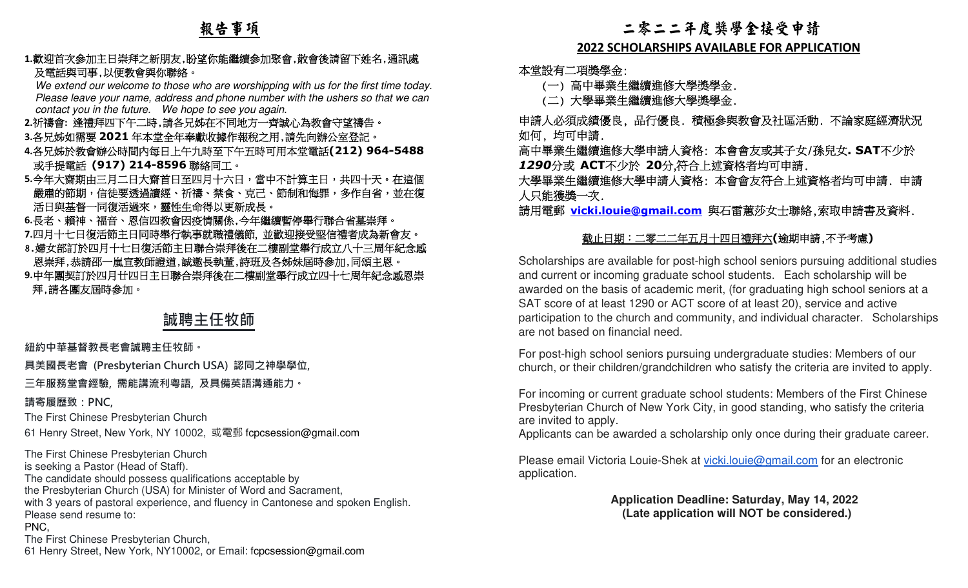### 報告事項

#### **1.**歡迎首次參加主日崇拜之新朋友,盼望你能繼續參加聚會,散會後請留下姓名,通訊處 及電話與司事,以便教會與你聯絡。

 We extend our welcome to those who are worshipping with us for the first time today. Please leave your name, address and phone number with the ushers so that we can contact you in the future. We hope to see you again.

- **2.**祈禱會**:** 逢禮拜四下午二時,請各兄姊在不同地方一齊誠心為教會守望禱告。
- 3.各兄姊如需要 2021 年本堂全年奉獻收據作報稅之用,請先向辦公室登記。<br>4.冬日地於教<del>金</del>戦公時間中信日上午九時至下午至時可用本當零**迁(212)9**
- **4.**各兄姊於教會辦公時間內每日上午九時至下午五時可用本堂電話**(212) 964-5488** - 或手提電話 **(917) 214-8596** 聯絡同工。<br><u>- 今年大爽期中</u>三月二日大爽首日至四月七六
- **5.**今年大齋期由三月二日大齋首日至四月十六日,當中不計算主日,共四十天。在這個|嚴肅的節期,信徒要透過讀經、祈禱、禁食、克己、節制和悔罪,多作自省,並在復 - 活日與基督一同復活過來,靈性生命得以更新成長。
- **6.**長老、賴神、福音、恩信四教會因疫情關係,今年繼續暫停舉行聯合省墓崇拜。**7.**四月十七日復活節主日同時舉行執事就職禮儀節, 並歡迎接受堅信禮者成為新會友。
- 8.婦女部訂於四月十七日復活節主日聯合崇拜後在二樓副堂舉行成立八十三周年紀念感恩崇拜,恭請邵一嵐宣教師證道,誠邀長執董,詩班及各姊妹屆時參加,同頌主恩。
- **9.**中年團契訂於四月廿四日主日聯合崇拜後在二樓副堂舉行成立四十七周年紀念感恩崇 拜,請各團友屆時參加。

### **誠聘主任牧師**

#### **紐約中華基督教⻑老會誠聘主任牧師。**

**具美國⻑老會 (Presbyterian Church USA) 認同之神學學位,** 

**三年服務堂會經驗, 需能講流利粵語, 及具備英語溝通能力。** 

**請寄履歷致:PNC,**

The First Chinese Presbyterian Church

61 Henry Street, New York, NY 10002, 或電郵 fcpcsession@gmail.com

The First Chinese Presbyterian Church is seeking a Pastor (Head of Staff). The candidate should possess qualifications acceptable by the Presbyterian Church (USA) for Minister of Word and Sacrament, with 3 years of pastoral experience, and fluency in Cantonese and spoken English.Please send resume to: PNC, The First Chinese Presbyterian Church,61 Henry Street, New York, NY10002, or Email: fcpcsession@gmail.com

#### 二零二二年度獎學金接受申請

#### **2022 SCHOLARSHIPS AVAILABLE FOR APPLICATION**

本堂設有二項獎學金:

(一) 高中畢業生繼續進修大學獎學金.

(二) 大學畢業生繼續進修大學獎學金.

 申請人必須成績優良, 品行優良. 積極參與教會及社區活動. 不論家庭經濟狀況 如何, 均可申請.

 高中畢業生繼續進修大學申請人資格: 本會會友或其子女/孫兒女**. SAT**不少於*1290*分或 **ACT**不少於 **20**分,符合上述資格者均可申請.

 大學畢業生繼續進修大學申請人資格: 本會會友符合上述資格者均可申請. 申請 人只能獲獎一次.

請用電郵 **vicki.louie@gmail.com** 與石雷蕙莎女士聯絡,索取申請書及資料.

#### 截止日期:二零二二年五月十四日禮拜六**(**逾期申請,不予考慮**)**

Scholarships are available for post-high school seniors pursuing additional studies and current or incoming graduate school students. Each scholarship will be awarded on the basis of academic merit, (for graduating high school seniors at a SAT score of at least 1290 or ACT score of at least 20), service and active participation to the church and community, and individual character. Scholarships are not based on financial need.

For post-high school seniors pursuing undergraduate studies: Members of our church, or their children/grandchildren who satisfy the criteria are invited to apply.

For incoming or current graduate school students: Members of the First Chinese Presbyterian Church of New York City, in good standing, who satisfy the criteria are invited to apply.

Applicants can be awarded a scholarship only once during their graduate career.

Please email Victoria Louie-Shek at vicki.louie@gmail.com for an electronic application.

> **Application Deadline: Saturday, May 14, 2022 (Late application will NOT be considered.)**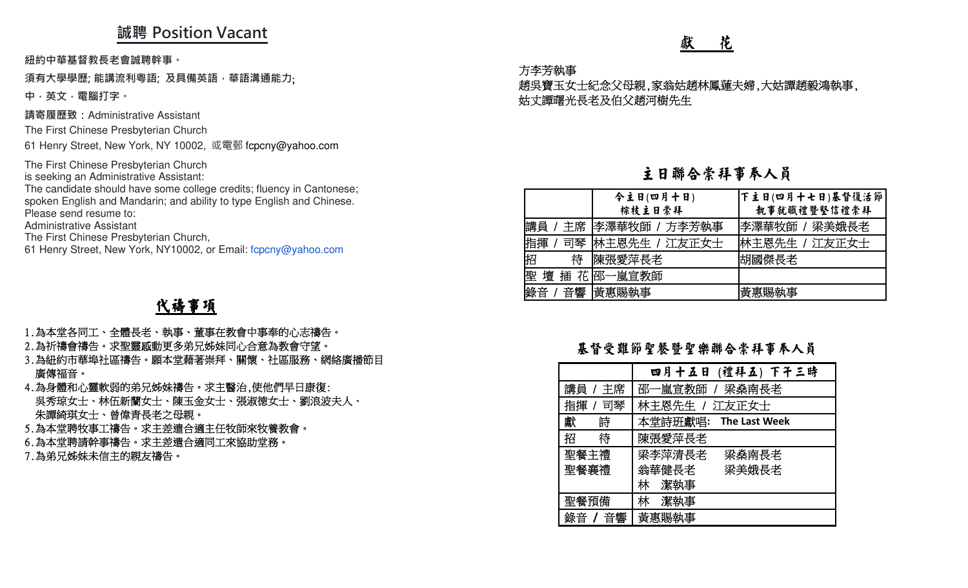### **誠聘 Position Vacant**

**紐約中華基督教⻑老會誠聘幹事。** 

#### **須有大學學歷; 能講流利粵語; 及具備英語,華語溝通能力**;

**中,英文,電腦打字。 請寄履歷致:**Administrative Assistant

The First Chinese Presbyterian Church

61 Henry Street, New York, NY 10002, 或電郵 fcpcny@yahoo.com

The First Chinese Presbyterian Church is seeking an Administrative Assistant:

 The candidate should have some college credits; fluency in Cantonese; spoken English and Mandarin; and ability to type English and Chinese.Please send resume to:

Administrative Assistant

The First Chinese Presbyterian Church,

61 Henry Street, New York, NY10002, or Email: fcpcny@yahoo.com

### 代禱事項

- 1.為本堂各同工、全體長老、執事、董事在教會中事奉的心志禱告。
- 2.為祈禱會禱告。求聖靈感動更多弟兄姊妹同心合意為教會守望。
- 3.為紐約市華埠社區禱告。願本堂藉著崇拜、關懷、社區服務、網絡廣播節目 廣傳福音。
- 4.為身體和心靈軟弱的弟兄姊妹禱告。求主醫治,使他們早日康復: 吳秀琼女士、林伍新蘭女士、陳玉金女士、張淑德女士、劉浪波夫人、 朱譚綺琪女士、曾偉青長老之母親。
- 5.為本堂聘牧事工禱告。求主差遣合適主任牧師來牧養教會。
- 6.為本堂聘請幹事禱告。求主差遣合適同工來協助堂務。
- 7.為弟兄姊妹未信主的親友禱告

#### 方李芳執事

#### 主日聯合崇拜事奉人員

| UJILIVII VULUIII                                                                         | 花<br>獻                                                                                                             |  |  |  |
|------------------------------------------------------------------------------------------|--------------------------------------------------------------------------------------------------------------------|--|--|--|
| 事。<br>及具備英語,華語溝通能力;                                                                      | 方李芳執事<br>趙吳寶玉女士紀念父母親,家翁姑趙林鳳蓮夫婦,大姑譚趙毅鴻執事,<br>姑丈譚曙光長老及伯父趙河樹先生                                                        |  |  |  |
| <i><b>ssistant</b></i><br><b>in Church</b><br>lY 10002, 或電郵 fcpcny@yahoo.com             |                                                                                                                    |  |  |  |
| เท Church<br><b>Assistant:</b>                                                           | 主日聯合崇拜事奉人員                                                                                                         |  |  |  |
| ome college credits; fluency in Cantonese;<br>; and ability to type English and Chinese. | 今主日(四月十日)<br> 下主日(四月十七日)基督復活節 <br>棕枝主日崇拜<br>執事就職禮暨堅信禮崇拜                                                            |  |  |  |
| in Church,<br>Y10002, or Email: fcpcny@yahoo.com                                         | 主席 李澤華牧師 / 方李芳執事<br>講員<br> 李澤華牧師 / 梁美娥長老<br>司琴  林主恩先生 / 江友正女士<br> 林主恩先生 / 江友正女士<br>指揮<br>陳張愛萍長老<br>待<br>胡國傑長老<br>招 |  |  |  |
| 《禱事項                                                                                     | 壇 插 花 邵一嵐宣教師<br>音響 黃惠賜執事<br>黃惠賜執事<br>錄音                                                                            |  |  |  |
| 執事、董事在教會中事奉的心志禱告。<br>更多弟兄姊妹同心合意為教會守望。<br>本堂藉著崇拜、關懷、社區服務、網絡廣播節目                           | 基督受難節聖餐暨聖樂聯合崇拜事奉人員                                                                                                 |  |  |  |
| 妹禱告。求主醫治,使他們早日康復:                                                                        | 四月十五日 (禮拜五) 下午三時<br>主席<br>邵一嵐宣教師<br>講員<br>梁燊南長老                                                                    |  |  |  |
| 、陳玉金女士、張淑德女士、劉浪波夫人、<br>之母親。                                                              | 司琴<br>林主恩先生<br>指揮<br>江友正女士                                                                                         |  |  |  |
| 差遣合適主任牧師來牧養教會。                                                                           | 詩<br>獻<br>本堂詩班獻唱:<br>The Last Week<br>待<br>招<br>陳張愛萍長老                                                             |  |  |  |
| 差遣合適同工來協助堂務。<br>告。                                                                       | 聖餐主禮<br>梁李萍清長老<br>梁燊南長老                                                                                            |  |  |  |

#### 基督受難節聖餐暨聖樂聯合崇拜事奉人員

|         | 四月十五日 (禮拜五) 下午三時      |
|---------|-----------------------|
| 講員 / 主席 | 邵一嵐宣教師 / 梁桑南長老        |
| 指揮 / 司琴 | 林主恩先生 / 江友正女士         |
| 獻<br>詩  | 本堂詩班獻唱: The Last Week |
| 待<br>招  | 陳張愛萍長老                |
| 聖餐主禮    | 梁李萍清長老<br>梁燊南長老       |
| 聖餐襄禮    | 翁華健長老<br>梁美娥長老        |
|         | 林 潔執事                 |
| 聖餐預備    | 林 潔執事                 |
| 錄音 / 音響 | 黃惠賜執事                 |